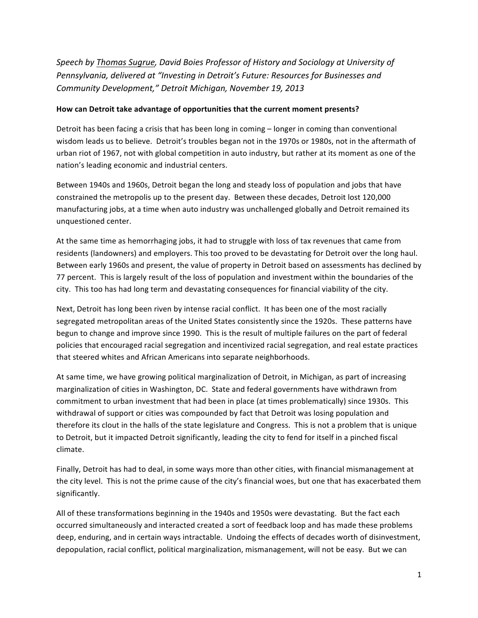Speech by Thomas Sugrue, David Boies Professor of History and Sociology at University of Pennsylvania, delivered at "Investing in Detroit's Future: Resources for Businesses and *Community Development," Detroit Michigan, November 19, 2013*

#### How can Detroit take advantage of opportunities that the current moment presents?

Detroit has been facing a crisis that has been long in coming – longer in coming than conventional wisdom leads us to believe. Detroit's troubles began not in the 1970s or 1980s, not in the aftermath of urban riot of 1967, not with global competition in auto industry, but rather at its moment as one of the nation's leading economic and industrial centers.

Between 1940s and 1960s, Detroit began the long and steady loss of population and jobs that have constrained the metropolis up to the present day. Between these decades, Detroit lost 120,000 manufacturing jobs, at a time when auto industry was unchallenged globally and Detroit remained its unquestioned center. 

At the same time as hemorrhaging jobs, it had to struggle with loss of tax revenues that came from residents (landowners) and employers. This too proved to be devastating for Detroit over the long haul. Between early 1960s and present, the value of property in Detroit based on assessments has declined by 77 percent. This is largely result of the loss of population and investment within the boundaries of the city. This too has had long term and devastating consequences for financial viability of the city.

Next, Detroit has long been riven by intense racial conflict. It has been one of the most racially segregated metropolitan areas of the United States consistently since the 1920s. These patterns have begun to change and improve since 1990. This is the result of multiple failures on the part of federal policies that encouraged racial segregation and incentivized racial segregation, and real estate practices that steered whites and African Americans into separate neighborhoods.

At same time, we have growing political marginalization of Detroit, in Michigan, as part of increasing marginalization of cities in Washington, DC. State and federal governments have withdrawn from commitment to urban investment that had been in place (at times problematically) since 1930s. This withdrawal of support or cities was compounded by fact that Detroit was losing population and therefore its clout in the halls of the state legislature and Congress. This is not a problem that is unique to Detroit, but it impacted Detroit significantly, leading the city to fend for itself in a pinched fiscal climate.

Finally, Detroit has had to deal, in some ways more than other cities, with financial mismanagement at the city level. This is not the prime cause of the city's financial woes, but one that has exacerbated them significantly.

All of these transformations beginning in the 1940s and 1950s were devastating. But the fact each occurred simultaneously and interacted created a sort of feedback loop and has made these problems deep, enduring, and in certain ways intractable. Undoing the effects of decades worth of disinvestment, depopulation, racial conflict, political marginalization, mismanagement, will not be easy. But we can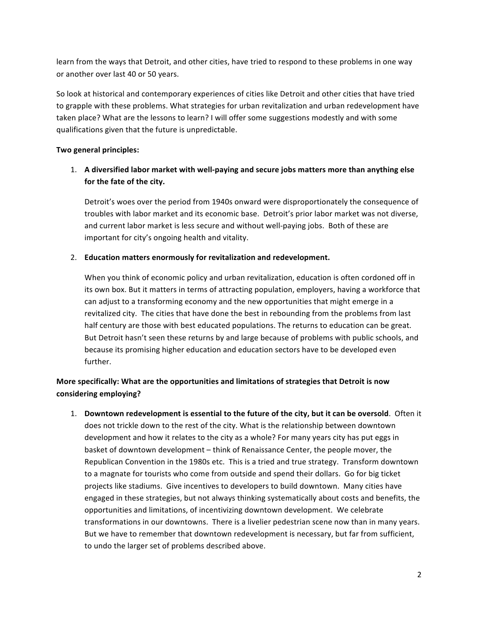learn from the ways that Detroit, and other cities, have tried to respond to these problems in one way or another over last 40 or 50 years.

So look at historical and contemporary experiences of cities like Detroit and other cities that have tried to grapple with these problems. What strategies for urban revitalization and urban redevelopment have taken place? What are the lessons to learn? I will offer some suggestions modestly and with some qualifications given that the future is unpredictable.

### **Two general principles:**

## 1. A diversified labor market with well-paying and secure jobs matters more than anything else for the fate of the city.

Detroit's woes over the period from 1940s onward were disproportionately the consequence of troubles with labor market and its economic base. Detroit's prior labor market was not diverse, and current labor market is less secure and without well-paying jobs. Both of these are important for city's ongoing health and vitality.

### 2. Education matters enormously for revitalization and redevelopment.

When you think of economic policy and urban revitalization, education is often cordoned off in its own box. But it matters in terms of attracting population, employers, having a workforce that can adjust to a transforming economy and the new opportunities that might emerge in a revitalized city. The cities that have done the best in rebounding from the problems from last half century are those with best educated populations. The returns to education can be great. But Detroit hasn't seen these returns by and large because of problems with public schools, and because its promising higher education and education sectors have to be developed even further.

# More specifically: What are the opportunities and limitations of strategies that Detroit is now considering employing?

1. **Downtown redevelopment is essential to the future of the city, but it can be oversold**. Often it does not trickle down to the rest of the city. What is the relationship between downtown development and how it relates to the city as a whole? For many years city has put eggs in basket of downtown development - think of Renaissance Center, the people mover, the Republican Convention in the 1980s etc. This is a tried and true strategy. Transform downtown to a magnate for tourists who come from outside and spend their dollars. Go for big ticket projects like stadiums. Give incentives to developers to build downtown. Many cities have engaged in these strategies, but not always thinking systematically about costs and benefits, the opportunities and limitations, of incentivizing downtown development. We celebrate transformations in our downtowns. There is a livelier pedestrian scene now than in many years. But we have to remember that downtown redevelopment is necessary, but far from sufficient, to undo the larger set of problems described above.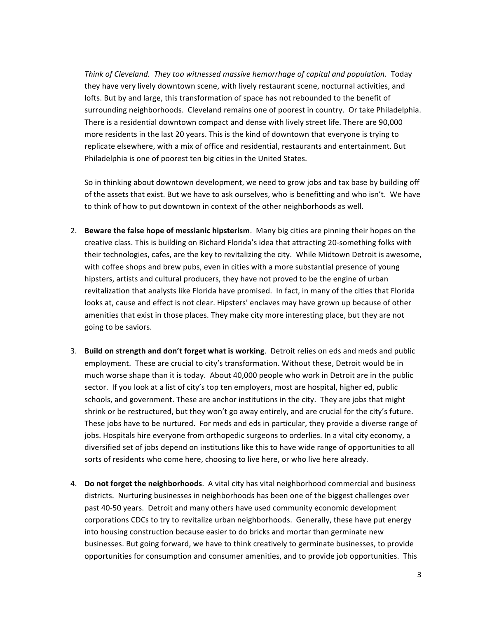Think of Cleveland. They too witnessed massive hemorrhage of capital and population. Today they have very lively downtown scene, with lively restaurant scene, nocturnal activities, and lofts. But by and large, this transformation of space has not rebounded to the benefit of surrounding neighborhoods. Cleveland remains one of poorest in country. Or take Philadelphia. There is a residential downtown compact and dense with lively street life. There are 90,000 more residents in the last 20 years. This is the kind of downtown that everyone is trying to replicate elsewhere, with a mix of office and residential, restaurants and entertainment. But Philadelphia is one of poorest ten big cities in the United States.

So in thinking about downtown development, we need to grow jobs and tax base by building off of the assets that exist. But we have to ask ourselves, who is benefitting and who isn't. We have to think of how to put downtown in context of the other neighborhoods as well.

- 2. **Beware the false hope of messianic hipsterism**. Many big cities are pinning their hopes on the creative class. This is building on Richard Florida's idea that attracting 20-something folks with their technologies, cafes, are the key to revitalizing the city. While Midtown Detroit is awesome, with coffee shops and brew pubs, even in cities with a more substantial presence of young hipsters, artists and cultural producers, they have not proved to be the engine of urban revitalization that analysts like Florida have promised. In fact, in many of the cities that Florida looks at, cause and effect is not clear. Hipsters' enclaves may have grown up because of other amenities that exist in those places. They make city more interesting place, but they are not going to be saviors.
- 3. **Build on strength and don't forget what is working**. Detroit relies on eds and meds and public employment. These are crucial to city's transformation. Without these, Detroit would be in much worse shape than it is today. About 40,000 people who work in Detroit are in the public sector. If you look at a list of city's top ten employers, most are hospital, higher ed, public schools, and government. These are anchor institutions in the city. They are jobs that might shrink or be restructured, but they won't go away entirely, and are crucial for the city's future. These jobs have to be nurtured. For meds and eds in particular, they provide a diverse range of jobs. Hospitals hire everyone from orthopedic surgeons to orderlies. In a vital city economy, a diversified set of jobs depend on institutions like this to have wide range of opportunities to all sorts of residents who come here, choosing to live here, or who live here already.
- 4. **Do not forget the neighborhoods**. A vital city has vital neighborhood commercial and business districts. Nurturing businesses in neighborhoods has been one of the biggest challenges over past 40-50 years. Detroit and many others have used community economic development corporations CDCs to try to revitalize urban neighborhoods. Generally, these have put energy into housing construction because easier to do bricks and mortar than germinate new businesses. But going forward, we have to think creatively to germinate businesses, to provide opportunities for consumption and consumer amenities, and to provide job opportunities. This